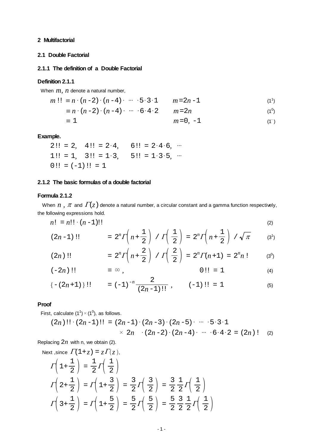#### <span id="page-0-0"></span>**2 Multifactorial**

## **2.1 Double Factorial**

## **2.1.1 The definition of a Double Factorial**

#### **Definition 2.1.1**

When *m, n* denote a natural number,

$$
m!! \equiv n \cdot (n-2) \cdot (n-4) \cdot \cdots \cdot 5 \cdot 3 \cdot 1 \qquad m = 2n-1 \tag{1}
$$

$$
\equiv n \cdot (n-2) \cdot (n-4) \cdot \cdots \cdot 6 \cdot 4 \cdot 2 \qquad m = 2n \tag{10}
$$

$$
m=0, -1
$$
 (1)

#### **Example.**

$$
2!! = 2, \quad 4!! = 2 \cdot 4, \quad 6!! = 2 \cdot 4 \cdot 6, \quad \cdots
$$
  

$$
1!! = 1, \quad 3!! = 1 \cdot 3, \quad 5!! = 1 \cdot 3 \cdot 5, \quad \cdots
$$
  

$$
0!! = (-1)!! = 1
$$

#### **2.1.2 The basic formulas of a double factorial**

### **Formula 2.1.2**

When  $n$ ,  $\pi$  and  $\Gamma(z)$  denote a natural number, a circular constant and a gamma function respectively, the following expressions hold.

$$
n! = n!! \cdot (n-1)!!
$$
 (2)

$$
(2n-1)!! = 2^{n} \Gamma\left(n + \frac{1}{2}\right) / \Gamma\left(\frac{1}{2}\right) = 2^{n} \Gamma\left(n + \frac{1}{2}\right) / \sqrt{\pi}
$$
 (3')

$$
(2n)!! = 2n \Gamma \left( n + \frac{2}{2} \right) / \Gamma \left( \frac{2}{2} \right) = 2n \Gamma(n+1) = 2n n!
$$
 (3<sup>0</sup>)

$$
(-2n)!! = \infty , \qquad 0!! = 1 \qquad (4)
$$

$$
\{-(2n+1)\}\text{!!} \qquad = (-1)^{-n}\frac{2}{(2n-1)\text{!!}}, \qquad (-1)\text{!!} = 1 \tag{5}
$$

#### **Proof**

First, calculate (1<sup>1</sup>)  $\times$  (1<sup>0</sup>), as follows.

$$
(2n)!! \cdot (2n-1)!! = (2n-1) \cdot (2n-3) \cdot (2n-5) \cdot \cdots \cdot 5 \cdot 3 \cdot 1
$$
  
× 2n \cdot (2n-2) \cdot (2n-4) \cdot \cdots \cdot 6 \cdot 4 \cdot 2 = (2n) ! (2)

Replacing 2*n* with n, we obtain (2).

Next, since 
$$
\Gamma(1+z) = z\Gamma(z)
$$
,  
\n
$$
\Gamma\left(1+\frac{1}{2}\right) = \frac{1}{2}\Gamma\left(\frac{1}{2}\right)
$$
\n
$$
\Gamma\left(2+\frac{1}{2}\right) = \Gamma\left(1+\frac{3}{2}\right) = \frac{3}{2}\Gamma\left(\frac{3}{2}\right) = \frac{3}{2}\frac{1}{2}\Gamma\left(\frac{1}{2}\right)
$$
\n
$$
\Gamma\left(3+\frac{1}{2}\right) = \Gamma\left(1+\frac{5}{2}\right) = \frac{5}{2}\Gamma\left(\frac{5}{2}\right) = \frac{5}{2}\frac{3}{2}\frac{1}{2}\Gamma\left(\frac{1}{2}\right)
$$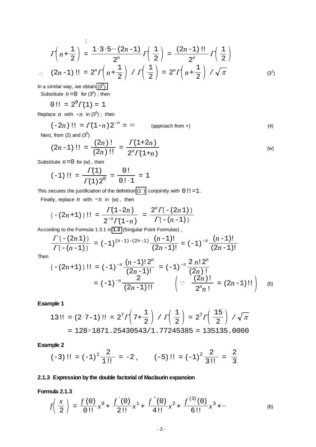$$
\Gamma\left(n+\frac{1}{2}\right) = \frac{1\cdot 3\cdot 5\cdots (2n-1)}{2^n} \Gamma\left(\frac{1}{2}\right) = \frac{(2n-1)!!}{2^n} \Gamma\left(\frac{1}{2}\right)
$$
  
 
$$
\therefore (2n-1)!! = 2^n \Gamma\left(n+\frac{1}{2}\right) / \Gamma\left(\frac{1}{2}\right) = 2^n \Gamma\left(n+\frac{1}{2}\right) / \sqrt{\pi}
$$
 (3')

In a similar way, we obtain  $(3^0)$ .

Substitute  $n = 0$  for  $(3^0)$ ; then

$$
0!! = 2^0 \Gamma(1) = 1
$$

Replace  $n \text{ with } -n \text{ in } (3^0)$ ; then

$$
(-2n)!! = \Gamma(1-n) 2^{-n} = \infty
$$
 (approach from +) (4)

Next, from (2) and  $(3^0)$ 

$$
(2n-1)!! = \frac{(2n)!}{(2n)!!} = \frac{\Gamma(1+2n)}{2^n \Gamma(1+n)} \tag{w}
$$

Substitute  $n = 0$  for (w), then

$$
(-1)!! = \frac{\Gamma(1)}{\Gamma(1) 2^0} = \frac{0!}{0! \cdot 1} = 1
$$

This secures the justification of the definition  $(1^-)$  conjointly with  $0!! = 1$ .

Finally, replace  $n$  with  $-n$  in (w), then

$$
\{-(2n+1)\}\,\} \, \, := \, \frac{\Gamma(1-2n)}{2^{-n}\Gamma(1-n)} \, = \, \frac{2^n\Gamma\{-(2n\,1)\}}{\Gamma\{-(n-1)\}}
$$

According to the Formula 1.3.1 in 1.3 (Singular Point Formulas),  
\n
$$
\frac{\Gamma\{- (2n 1) \}}{\Gamma\{- (n-1) \}} = (-1)^{(n-1)-(2n-1)} \frac{(n-1)!}{(2n-1)!} = (-1)^{-n} \frac{(n-1)!}{(2n-1)!}
$$

Then

$$
\{- (2n+1) \} \mathrel{!} = (-1)^{-n} \frac{(n-1)! \, 2^n}{(2n-1)!} = (-1)^{-n} \frac{2 \, n! \, 2^n}{(2n)!} = (-1)^{-n} \frac{2 \, n! \, 2^n}{(2n)!} = (2n-1) \mathrel{!} \bigg\} \tag{5}
$$

#### **Example 1**

$$
13!! = (2 \cdot 7 - 1)!! = 2^7 \Gamma \left(7 + \frac{1}{2}\right) / \Gamma \left(\frac{1}{2}\right) = 2^7 \Gamma \left(\frac{15}{2}\right) / \sqrt{\pi}
$$

$$
= 128 \times 1871 . 25430543 / 1.77245385 = 135135.0000
$$

#### **Example 2**

$$
(-3)!! = (-1)^1 \frac{2}{1!!} = -2
$$
,  $(-5)!! = (-1)^2 \frac{2}{3!!} = \frac{2}{3}$ 

## **2.1.3 Expression by the double factorial of Maclaurin expansion**

## **Formula 2.1.3**

$$
f\left(\frac{x}{2}\right) = \frac{f(0)}{0!}x^{0} + \frac{f'(0)}{2!}x^{1} + \frac{f''(0)}{4!}x^{2} + \frac{f^{(3)}(0)}{6!}x^{3} + \cdots
$$
 (6)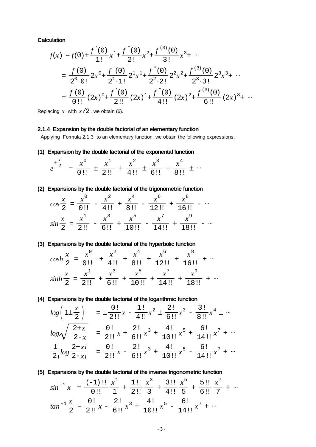**Calculation**

$$
f(x) = f(0) + \frac{f'(0)}{1!}x^1 + \frac{f''(0)}{2!}x^2 + \frac{f^{(3)}(0)}{3!}x^3 + \cdots
$$
  
= 
$$
\frac{f(0)}{2^0 \cdot 0!} 2x^0 + \frac{f'(0)}{2^1 \cdot 1!} 2^1x^1 + \frac{f''(0)}{2^2 \cdot 2!} 2^2x^2 + \frac{f^{(3)}(0)}{2^3 \cdot 3!} 2^3x^3 + \cdots
$$
  
= 
$$
\frac{f(0)}{0!!} (2x)^0 + \frac{f'(0)}{2!!} (2x)^1 + \frac{f''(0)}{4!!} (2x)^2 + \frac{f^{(3)}(0)}{6!!} (2x)^3 + \cdots
$$

Replacing  $x$  with  $x/2$ , we obtain (6).

#### **2.1.4 Expansion by the double factorial of an elementary function**

Applying Formula 2.1.3 to an elementary function, we obtain the following expressions.

**(1) Expansion by the double factorial of the exponental function**

|  |         |     |        |            | $\cdots$ |
|--|---------|-----|--------|------------|----------|
|  | - 211 - | 4!! | $-6!!$ | <b>RIL</b> |          |

## **(2) Expansions by the double factorial of the trigonometric function**

| $\boldsymbol{\mathcal{X}}$<br>$\cos \frac{\pi}{2}$ | $x^{\circ}$                    | $r^2$<br>4!! | 8!!           | 12!! | 16!! |  |
|----------------------------------------------------|--------------------------------|--------------|---------------|------|------|--|
| $\frac{\sin \frac{\pi}{2}}{2}$                     | $x^{\perp}$<br>$\overline{2!}$ | $x^3$<br>6!! | $x^5$<br>10!! | 14!1 | 18‼  |  |

### **(3) Expansions by the double factorial of the hyperbolic function**

| $cosh\frac{\pi}{2}$                              |                  | $\overline{811}$ | $\overline{121}$ | 16!! |  |
|--------------------------------------------------|------------------|------------------|------------------|------|--|
| $\mathbf{A}$<br>$sinh$ <sup>-</sup> <sub>2</sub> | $\overline{211}$ |                  |                  |      |  |

#### **(4) Expansions by the double factorial of the logarithmic function**

$$
\log\left(1\pm\frac{x}{2}\right) = \pm\frac{0!}{2!1}x - \frac{1!}{4!1}x^2 \pm \frac{2!}{6!1}x^3 - \frac{3!}{8!1}x^4 \pm \cdots
$$

$$
\log\sqrt{\frac{2+x}{2-x}} = \frac{0!}{2!1}x + \frac{2!}{6!1}x^3 + \frac{4!}{10!1}x^5 + \frac{6!}{14!1}x^7 + \cdots
$$

$$
\frac{1}{2i}\log\frac{2+xi}{2-xi} = \frac{0!}{2!1}x - \frac{2!}{6!1}x^3 + \frac{4!}{10!1}x^5 - \frac{6!}{14!1}x^7 + \cdots
$$

#### **(5) Expansions by the double factorial of the inverse trigonometric function**

$$
\sin^{-1} x = \frac{(-1) \text{ 1!}}{0 \text{ 1!}} \frac{x^1}{1} + \frac{1 \text{ 1!}}{2 \text{ 1!}} \frac{x^3}{3} + \frac{3 \text{ 1!}}{4 \text{ 1!}} \frac{x^5}{5} + \frac{5 \text{ 1!}}{6 \text{ 1!}} \frac{x^7}{7} + \cdots
$$
\n
$$
\tan^{-1} \frac{x}{2} = \frac{0 \text{ 1}}{2 \text{ 1!}} x - \frac{2 \text{ 1}}{6 \text{ 1!}} x^3 + \frac{4 \text{ 1}}{10 \text{ 1!}} x^5 - \frac{6 \text{ 1}}{14 \text{ 1!}} x^7 + \cdots
$$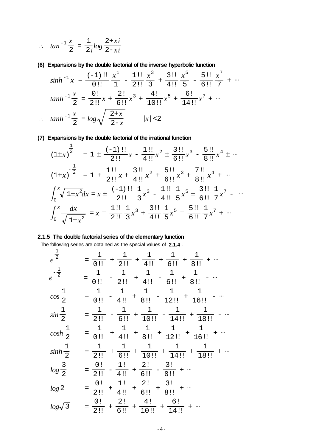$$
\therefore \quad \tan^{-1}\frac{x}{2} = \frac{1}{2i}\log\frac{2+xi}{2-xi}
$$

## **(6) Expansions by the double factorial of the inverse hyperbolic function**

*sinh* -1 *<sup>x</sup>*<sup>=</sup> 0!! ( ) -1 !! 1 *x* 1 - 2!! 1!! 3 *x* 3 <sup>+</sup> 4!! 3!! 5 *x* 5 - 6!! 5!! 7 *x* 7 + *tanh* -1 2 *<sup>x</sup>* <sup>=</sup> 2!! 0! *x* + 6!! 2! *x* <sup>3</sup> + 10!! 4! *x* <sup>5</sup> + 14!! 6! *x* <sup>7</sup> + *tanh* -1 2 *<sup>x</sup>* <sup>=</sup> *log* 2-*<sup>x</sup>* 2+*<sup>x</sup>* | |*<sup>x</sup>* <2

## **(7) Expansions by the double factorial of the irrational function**

$$
(1 \pm x)^{\frac{1}{2}} = 1 \pm \frac{(-1) \text{ 1!}}{2 \text{ 1!}} x - \frac{1 \text{ 1!}}{4 \text{ 1!}} x^2 \pm \frac{3 \text{ 1!}}{6 \text{ 1!}} x^3 - \frac{5 \text{ 1!}}{8 \text{ 1!}} x^4 \pm \cdots
$$
\n
$$
(1 \pm x)^{-\frac{1}{2}} = 1 \mp \frac{1 \text{ 1!}}{2 \text{ 1!}} x + \frac{3 \text{ 1!}}{4 \text{ 1!}} x^2 \mp \frac{5 \text{ 1!}}{6 \text{ 1!}} x^3 + \frac{7 \text{ 1!}}{8 \text{ 1!}} x^4 \mp \cdots
$$
\n
$$
\int_0^x \sqrt{1 \pm x^2} dx = x \pm \frac{(-1) \text{ 1!}}{2 \text{ 1!}} \frac{1}{3} x^3 - \frac{1 \text{ 1!}}{4 \text{ 1!}} \frac{1}{5} x^5 \pm \frac{3 \text{ 1!}}{6 \text{ 1!}} \frac{1}{7} x^7 - \cdots
$$
\n
$$
\int_0^x \frac{dx}{\sqrt{1 \pm x^2}} = x \mp \frac{1 \text{ 1!}}{2 \text{ 1!}} \frac{1}{3} x^3 + \frac{3 \text{ 1!}}{4 \text{ 1!}} \frac{1}{5} x^5 \mp \frac{5 \text{ 1!}}{6 \text{ 1!}} \frac{1}{7} x^7 + \cdots
$$

## **2.1.5 The double factorial series of the elementary function**

The following series are obtained as the special values of **2.1.4** .

$$
e^{\frac{1}{2}} = \frac{1}{0!} + \frac{1}{2!} + \frac{1}{4!} + \frac{1}{6!} + \frac{1}{8!} + \cdots
$$
  
\n
$$
e^{-\frac{1}{2}} = \frac{1}{0!} - \frac{1}{2!} + \frac{1}{4!} - \frac{1}{6!} + \frac{1}{8!} - \cdots
$$
  
\n
$$
\cos \frac{1}{2} = \frac{1}{0!} - \frac{1}{4!} + \frac{1}{8!} - \frac{1}{12!} + \frac{1}{16!} - \cdots
$$
  
\n
$$
\sin \frac{1}{2} = \frac{1}{2!} - \frac{1}{6!} + \frac{1}{10!} - \frac{1}{14!} + \frac{1}{18!} - \cdots
$$
  
\n
$$
\cosh \frac{1}{2} = \frac{1}{0!} + \frac{1}{4!} + \frac{1}{8!} + \frac{1}{12!} + \frac{1}{16!} + \cdots
$$
  
\n
$$
\sinh \frac{1}{2} = \frac{1}{2!} + \frac{1}{6!} + \frac{1}{10!} + \frac{1}{14!} + \frac{1}{18!} + \cdots
$$
  
\n
$$
\log \frac{3}{2} = \frac{0!}{2!} - \frac{1!}{4!} + \frac{2!}{6!} - \frac{3!}{8!} + \cdots
$$
  
\n
$$
\log 2 = \frac{0!}{2!} + \frac{1!}{4!} + \frac{2!}{6!} + \frac{3!}{8!} + \cdots
$$
  
\n
$$
\log \sqrt{3} = \frac{0!}{2!} + \frac{1!}{6!} + \frac{2!}{6!} + \frac{3!}{8!} + \cdots
$$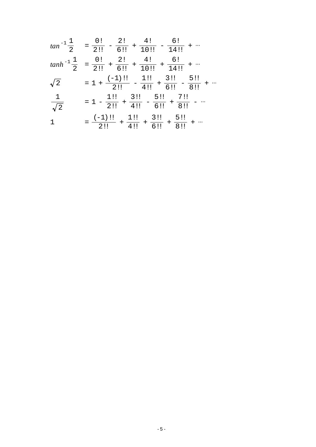$$
tan^{-1}\frac{1}{2} = \frac{0!}{2!!} - \frac{2!}{6!!} + \frac{4!}{10!!} - \frac{6!}{14!!} + \cdots
$$
  
\n
$$
tanh^{-1}\frac{1}{2} = \frac{0!}{2!!} + \frac{2!}{6!!} + \frac{4!}{10!!} + \frac{6!}{14!!} + \cdots
$$
  
\n
$$
\sqrt{2} = 1 + \frac{(-1)!}{2!!} - \frac{1!!}{4!!} + \frac{3!!}{6!!} - \frac{5!!}{8!!} + \cdots
$$
  
\n
$$
\frac{1}{\sqrt{2}} = 1 - \frac{1!!}{2!!} + \frac{3!!}{4!!} - \frac{5!!}{6!!} + \frac{7!!}{8!!} - \cdots
$$
  
\n
$$
1 = \frac{(-1)!}{2!!} + \frac{1!!}{4!!} + \frac{3!!}{6!!} + \frac{5!!}{8!!} + \cdots
$$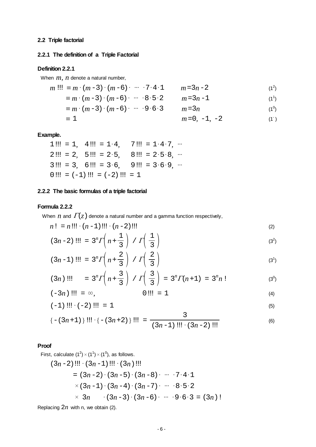## <span id="page-5-0"></span>**2.2 Triple factorial**

## **2.2.1 The definition of a Triple Factorial**

#### **Definition 2.2.1**

When *m, n* denote a natural number,

$$
m \, \text{!!} \equiv m \cdot (m-3) \cdot (m-6) \cdot \cdots \cdot 7 \cdot 4 \cdot 1 \qquad m = 3n-2 \tag{1^2}
$$

- $\equiv m \cdot (m-3) \cdot (m-6) \cdot \cdots \cdot 8 \cdot 5 \cdot 2$   $m=3n-1$  $(1^1)$ 
	- $\equiv m \cdot (m-3) \cdot (m-6) \cdot \cdots \cdot 9 \cdot 6 \cdot 3$   $m=3n$  $(1^0)$

$$
m=0, -1, -2
$$
 (1)

#### **Example.**

|  | 1!!! = 1, 4!!! = 1·4, 7!!! = 1·4·7, …                 |  |  |
|--|-------------------------------------------------------|--|--|
|  | $2!!! = 2$ , $5!!! = 2.5$ , $8!!! = 2.5.8$ , $\cdots$ |  |  |
|  | $3!!! = 3$ , $6!!! = 3.6$ , $9!!! = 3.6.9$ ,          |  |  |
|  | $0$ !!! = $(-1)$ !!! = $(-2)$ !!! = 1                 |  |  |

## **2.2.2 The basic formulas of a triple factorial**

## **Formula 2.2.2**

When  $n$  and  $\Gamma(z)$  denote a natural number and a gamma function respectively,

$$
n! = n!!! \cdot (n-1)!!! \cdot (n-2)!!!
$$
 (2)

$$
(3n-2) \text{ } \text{ } \text{ } \text{ } \text{ } 11 \text{ } \text{ } = 3^n \Gamma \left( n + \frac{1}{3} \right) / \Gamma \left( \frac{1}{3} \right) \tag{3^2}
$$

$$
(3n-1) \text{ } \text{ } \text{ } \text{ } \text{ } 1 \text{ } \text{ } \text{ } \text{ } 1 \text{ } \text{ } \text{ } \text{ } 1 \text{ } \text{ } 1 \text{ } \text{ } \text{ } \text{ } 1 \text{ } \text{ } \text{ } \text{ } 1 \text{ } \text{ } \text{ } \text{ } 1 \text{ } \text{ } \text{ } \text{ } \text{ } \text{ } 1 \text{ } \text{ } \text{ } 1 \text{ } \text{ } \text{ } 1 \text{ } \text{ } \text{ } 1 \text{ } \text{ } \text{ } 1 \text{ } \text{ } \text{ } 1 \text{ } \text{ } \text{ } 1 \text{ } \text{ } \text{ } \text{ } 1 \text{ } \text{ } \text{ } 1 \text{ } \text{ } \text{ } 1 \text{ } \text{ } \text{ } 1 \text{ } \text{ } \text{ } 1 \text{ } \text{ } \text{ } 1 \text{ } \text{ } \text{ } 1 \text{ } \text{ } \text{ } 1 \text{ } \text{ } 1 \text{ } \text{ } 1 \text{ } \text{ } 1 \text{ } \text{ } 1 \text{ } \text{ } 1 \text{ } \text{ } 1 \text{ } \text{ } 1 \text{ } \text{ } 1 \text{ } \text{ } 1 \text{ } \text{ } 1 \text{ } \text{ } 1 \text{ } \text{ } 1 \text{ } \text{ } 1 \text{ } \text{ } 1 \text{ } \text{ } 1 \text{ } \text{ } 1 \text{ } \text{ } 1 \text{ } \text{ } 1 \text{ } \text{ } 1 \text{ } \text{ } 1 \text{ } \text{ } 1 \text{ } \text{ } 1 \text{ } \text{ } 1 \text{ } \text{ } 1 \text{ } \text{ } 1 \text{ } \text{ } 1 \text{ } \text{ } 1 \text{ } \text{ } 1 \text{ } \text{ } 1 \text{ } \text{ } 1 \text{ } \text{ } 1 \text{ } \text{ } 1 \text{ } \text{ } 1 \text{ } \text{ } 1 \text{ } \text{ } 1 \text{ } \text{ } 1 \text{ } \text{ } 1 \text{ } \text{ } 1 \text{ } \text{ } 1 \text{ } \text{ } 1 \text{ } \text
$$

( ) 3*n* !!! = 3*<sup>n</sup> <sup>n</sup>*<sup>+</sup> 3 3 / <sup>3</sup> <sup>3</sup> <sup>=</sup> <sup>3</sup>*<sup>n</sup>* ( ) *n*+1= 3*<sup>n</sup> n*! (30 )

( ) -3*n* !!! = *,* 0!!! = 1 (4)

$$
(-1) \dots (-2) \dots = 1 \tag{5}
$$

$$
\{- (3n+1) \} \{ \} \{ \{- (3n+2) \} \} \{ \} = \frac{3}{(3n-1) \{ \} \{ \{- (3n+2) \} \} \} \tag{6}
$$

### **Proof**

First, calculate  $(1^2) \times (1^1) \times (1^0)$ , as follows.

( ) 3*n*-2 !!!( ) 3*n*-1 !!!( ) 3*n* !!! = ( ) 3*n*-2 ( ) 3*n*-5 ( ) 3*n*-8 741 ( ) 3*n*-1 ( ) 3*n*-4 ( ) 3*n*-7 852 3*n* ( ) 3*n*-3 ( ) 3*n*-6 963 = ( ) 3*n* !

Replacing 2*n* with n, we obtain (2).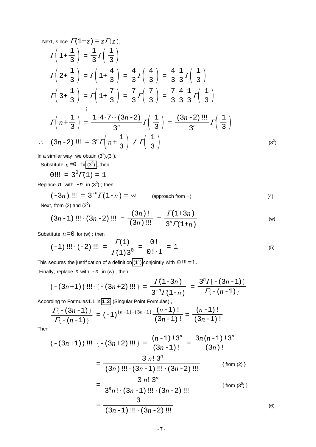Next, since 
$$
\Gamma(1+z) = z\Gamma(z)
$$
,  
\n
$$
\Gamma\left(1+\frac{1}{3}\right) = \frac{1}{3}\Gamma\left(\frac{1}{3}\right)
$$
\n
$$
\Gamma\left(2+\frac{1}{3}\right) = \Gamma\left(1+\frac{4}{3}\right) = \frac{4}{3}\Gamma\left(\frac{4}{3}\right) = \frac{4}{3}\frac{1}{3}\Gamma\left(\frac{1}{3}\right)
$$
\n
$$
\Gamma\left(3+\frac{1}{3}\right) = \Gamma\left(1+\frac{7}{3}\right) = \frac{7}{3}\Gamma\left(\frac{7}{3}\right) = \frac{7}{3}\frac{4}{3}\frac{1}{3}\Gamma\left(\frac{1}{3}\right)
$$
\n
$$
\vdots
$$
\n
$$
\Gamma\left(n+\frac{1}{3}\right) = \frac{1\cdot4\cdot7\cdots(3n-2)}{3^n}\Gamma\left(\frac{1}{3}\right) = \frac{(3n-2) \text{ iii}}{3^n}\Gamma\left(\frac{1}{3}\right)
$$
\n
$$
\therefore (3n-2) \text{ iii} = 3^n\Gamma\left(n+\frac{1}{3}\right) / \Gamma\left(\frac{1}{3}\right)
$$
\n(3<sup>2</sup>)

In a similar way, we obtain  $(3^1),(3^0)$ .

Substitute  $n = 0$  for  $(3^0)$ ; then

 $0!!! = 3^0 \Gamma(1) = 1$ 

Replace  $n \text{ with } -n \text{ in } (3^0)$ ; then

 $(-3n)$  !!! =  $3^{-n}\Gamma(1-n) = \infty$  $\frac{1}{4}$  (approach from +) (4) Next, from (2) and  $(3^0)$ 

$$
(3n-1) \{1! \} \cdot (3n-2) \{1! \} = \frac{(3n) \{1}{(3n) \{1! \}}} = \frac{\Gamma(1+3n)}{3^n \Gamma(1+n)} \tag{w}
$$

Substitute  $n = 0$  for (w); then

$$
(-1) \dots (-2) \dots = \frac{\Gamma(1)}{\Gamma(1) 3^0} = \frac{0!}{0! \cdot 1} = 1 \tag{5}
$$

This secures the justification of a definition  $(1^-)$  conjointly with  $0$ !!! = 1.

Finally, replace  $n$  with  $-n$  in (w), then

$$
\{-(3n+1)\}\n\{...\n\{-3n+2)\n\}\n=\n\frac{\Gamma(1-3n)}{3^{-n}\Gamma(1-n)}\n=\n\frac{3^n\Gamma(-3n-1)}{\Gamma(-(n-1))}
$$

According to Formulas1.1 in 1.3 (Singular Point Formulas),  
\n
$$
\frac{\Pi(- (3n-1))}{\Pi(- (n-1))} = (-1)^{(n-1)-(3n-1)} \frac{(n-1)!}{(3n-1)!} = \frac{(n-1)!}{(3n-1)!}
$$

Then

 -( ) <sup>3</sup>*n*+1 !!! -( ) <sup>3</sup>*n*+2 !!! <sup>=</sup> ( ) <sup>3</sup>*n*-1 ! ( ) *n*-1 !3*<sup>n</sup>* <sup>=</sup> ( ) <sup>3</sup>*<sup>n</sup>* ! 3*n*( ) *n*-1 !3*<sup>n</sup>* <sup>=</sup> ( ) <sup>3</sup>*<sup>n</sup>* !!!( ) <sup>3</sup>*n*-1 !!!( ) <sup>3</sup>*n*-2 !!! 3 *n*!3*<sup>n</sup>* { from (2) } <sup>=</sup> <sup>3</sup>*<sup>n</sup> n*!( ) 3*n*-1 !!!( ) 3*n*-2 !!! 3 *n*!3*<sup>n</sup>* { from (30 ) } <sup>=</sup> ( ) <sup>3</sup>*n*-1 !!!( ) <sup>3</sup>*n*-2 !!! 3 (6)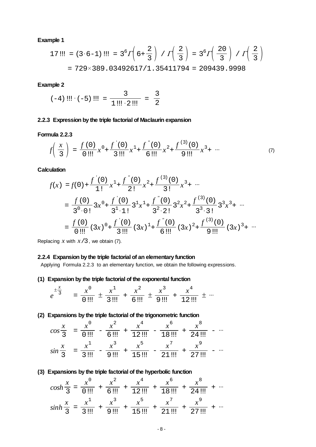17::: = 
$$
(3 \cdot 6 - 1)
$$
 ::: =  $3^6 \Gamma \left(6 + \frac{2}{3}\right) / \Gamma \left(\frac{2}{3}\right) = 3^6 \Gamma \left(\frac{20}{3}\right) / \Gamma \left(\frac{2}{3}\right)$   
=  $729 \times 389 .03492617 / 1 .35411794 = 209439 .9998$ 

#### **Example 2**

$$
(-4) \dots (-5) \dots = \frac{3}{1 \dots 2} = \frac{3}{2}
$$

#### **2.2.3 Expression by the triple factorial of Maclaurin expansion**

#### **Formula 2.2.3**

$$
f\left(\frac{x}{3}\right) = \frac{f(0)}{0!}x^{0} + \frac{f'(0)}{3!}x^{1} + \frac{f''(0)}{6!}x^{2} + \frac{f^{(3)}(0)}{9!}x^{3} + \cdots
$$
 (7)

**Calculation**

$$
f(x) = f(0) + \frac{f'(0)}{1!}x^1 + \frac{f''(0)}{2!}x^2 + \frac{f^{(3)}(0)}{3!}x^3 + \cdots
$$
  
=  $\frac{f(0)}{3^0 \cdot 0!}3x^0 + \frac{f'(0)}{3^1 \cdot 1!}3^1x^1 + \frac{f''(0)}{3^2 \cdot 2!}3^2x^2 + \frac{f^{(3)}(0)}{3^3 \cdot 3!}3^3x^3 + \cdots$   
=  $\frac{f(0)}{0!!!} (3x)^0 + \frac{f'(0)}{3!!!} (3x)^1 + \frac{f''(0)}{6!!!} (3x)^2 + \frac{f^{(3)}(0)}{9!!!} (3x)^3 + \cdots$ 

Replacing *x* with *x*/3, we obtain (7).

## **2.2.4 Expansion by the triple factorial of an elementary function**

Applying Formula 2.2.3 to an elementary function, we obtain the following expressions.

#### **(1) Expansion by the triple factorial of the exponental function**

$$
e^{\pm \frac{x}{3}} = \frac{x^0}{0 \text{...}} \pm \frac{x^1}{3 \text{...}} + \frac{x^2}{6 \text{...}} \pm \frac{x^3}{9 \text{...}} + \frac{x^4}{12 \text{...}} \pm \cdots
$$

#### **(2) Expansions by the triple factorial of the trigonometric function**

$$
\cos\frac{x}{3} = \frac{x^0}{0!!} - \frac{x^2}{6!!} + \frac{x^4}{12!!} - \frac{x^6}{18!!} + \frac{x^8}{24!!} - \cdots
$$
  

$$
\sin\frac{x}{3} = \frac{x^1}{3!!} - \frac{x^3}{9!!} + \frac{x^5}{15!!} - \frac{x^7}{21!!} + \frac{x^9}{27!!} - \cdots
$$

## **(3) Expansions by the triple factorial of the hyperbolic function**

$$
\cosh\frac{x}{3} = \frac{x^0}{0 \text{ ...}} + \frac{x^2}{6 \text{ ...}} + \frac{x^4}{12 \text{ ...}} + \frac{x^6}{18 \text{ ...}} + \frac{x^8}{24 \text{ ...}} + \cdots
$$
\n
$$
\sinh\frac{x}{3} = \frac{x^1}{3 \text{ ...}} + \frac{x^3}{9 \text{ ...}} + \frac{x^5}{15 \text{ ...}} + \frac{x^7}{21 \text{ ...}} + \frac{x^9}{27 \text{ ...}} + \cdots
$$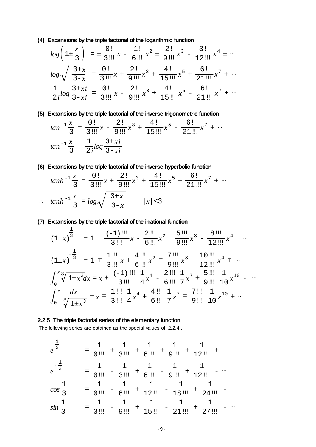**(4) Expansions by the triple factorial of the logarithmic function**

$$
\log\left(1\pm\frac{x}{3}\right) = \pm\frac{0!}{3!1!}x - \frac{1!}{6!1!}x^2 \pm \frac{2!}{9!1!}x^3 - \frac{3!}{12!1!}x^4 \pm \cdots
$$

$$
\log\sqrt{\frac{3+x}{3-x}} = \frac{0!}{3!1!}x + \frac{2!}{9!1!}x^3 + \frac{4!}{15!1!}x^5 + \frac{6!}{21!1!}x^7 + \cdots
$$

$$
\frac{1}{2i}\log\frac{3+xi}{3-xi} = \frac{0!}{3!1!}x - \frac{2!}{9!1!}x^3 + \frac{4!}{15!1!}x^5 - \frac{6!}{21!1!}x^7 + \cdots
$$

**(5) Expansions by the triple factorial of the inverse trigonometric function**

$$
\tan^{-1}\frac{x}{3} = \frac{0!}{3!1!}x - \frac{2!}{9!1!}x^3 + \frac{4!}{15!1!}x^5 - \frac{6!}{21!1!}x^7 + \cdots
$$
  
 
$$
\therefore \quad \tan^{-1}\frac{x}{3} = \frac{1}{2i}\log\frac{3+xi}{3-xi}
$$

**(6) Expansions by the triple factorial of the inverse hyperbolic function**

$$
\tanh^{-1}\frac{x}{3} = \frac{0!}{3!!!}x + \frac{2!}{9!!!}x^3 + \frac{4!}{15!!!}x^5 + \frac{6!}{21!!!}x^7 + \cdots
$$
  
 
$$
\therefore \quad \tanh^{-1}\frac{x}{3} = \log\sqrt{\frac{3+x}{3-x}} \qquad |x| < 3
$$

**(7) Expansions by the triple factorial of the irrational function**

$$
(1 \pm x)^{\frac{1}{3}} = 1 \pm \frac{(-1) \text{ iii}}{3 \text{ iii}} x - \frac{2 \text{ iii}}{6 \text{ iii}} x^2 \pm \frac{5 \text{ iii}}{9 \text{ iii}} x^3 - \frac{8 \text{ iii}}{12 \text{ iii}} x^4 \pm \cdots
$$
\n
$$
(1 \pm x)^{-\frac{1}{3}} = 1 \mp \frac{1 \text{ iii}}{3 \text{ iii}} x + \frac{4 \text{ iii}}{6 \text{ iii}} x^2 \mp \frac{7 \text{ iii}}{9 \text{ iii}} x^3 + \frac{10 \text{ iii}}{12 \text{ iii}} x^4 \mp \cdots
$$
\n
$$
\int_0^x \sqrt[3]{1 \pm x^3} dx = x \pm \frac{(-1) \text{ iii}}{3 \text{ iii}} \frac{1}{4} x^4 - \frac{2 \text{ iii}}{6 \text{ iii}} \frac{1}{7} x^7 \pm \frac{5 \text{ iii}}{9 \text{ iii}} \frac{1}{10} x^{10} - \cdots
$$
\n
$$
\int_0^x \frac{dx}{\sqrt[3]{1 \pm x^3}} = x \mp \frac{1 \text{ iii}}{3 \text{ iii}} \frac{1}{4} x^4 + \frac{4 \text{ iii}}{6 \text{ iii}} \frac{1}{7} x^7 \mp \frac{7 \text{ iii}}{9 \text{ iii}} \frac{1}{10} x^{10} + \cdots
$$

#### **2.2.5 The triple factorial series of the elementary function**

The following series are obtained as the special values of 2.2.4 .

$$
e^{\frac{1}{3}} = \frac{1}{0 \text{...}} + \frac{1}{3 \text{...}} + \frac{1}{6 \text{...}} + \frac{1}{9 \text{...}} + \frac{1}{12 \text{...}} + \cdots
$$
  
\n
$$
e^{-\frac{1}{3}} = \frac{1}{0 \text{...}} - \frac{1}{3 \text{...}} + \frac{1}{6 \text{...}} - \frac{1}{9 \text{...}} + \frac{1}{12 \text{...}} - \cdots
$$
  
\n
$$
\cos \frac{1}{3} = \frac{1}{0 \text{...}} - \frac{1}{6 \text{...}} + \frac{1}{12 \text{...}} - \frac{1}{18 \text{...}} + \frac{1}{24 \text{...}} - \cdots
$$
  
\n
$$
\sin \frac{1}{3} = \frac{1}{3 \text{...}} - \frac{1}{9 \text{...}} + \frac{1}{15 \text{...}} - \frac{1}{21 \text{...}} + \frac{1}{27 \text{...}} - \cdots
$$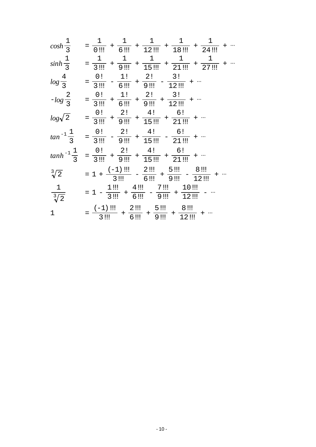|                         | $\cosh \frac{1}{3} \quad = \frac{1}{0 \, \text{iii}} + \frac{1}{6 \, \text{iii}} + \frac{1}{12 \, \text{iii}} + \frac{1}{18 \, \text{iii}} + \frac{1}{24 \, \text{iii}} + \cdots$                    |
|-------------------------|------------------------------------------------------------------------------------------------------------------------------------------------------------------------------------------------------|
|                         | $sinh\frac{1}{3}$ = $\frac{1}{3}$ = $\frac{1}{9}$ + $\frac{1}{9}$ + $\frac{1}{15}$ + $\frac{1}{21}$ + $\frac{1}{27}$ + $\frac{1}{27}$ + $\cdots$                                                     |
|                         | $log\frac{4}{3}$ = $\frac{0!}{3}$ - $\frac{1!}{6}$ + $\frac{2!}{9}$ - $\frac{3!}{12}$ +                                                                                                              |
|                         | $-log \frac{2}{3} = \frac{0!}{3} \frac{1!}{8!} + \frac{1!}{6! \frac{1!}{8!}} + \frac{2!}{9! \frac{1!}{8!}} + \frac{3!}{12! \frac{1!}{8!}} + \cdots$                                                  |
|                         | $log \sqrt{2} \qquad = \frac{0!}{3}!! \; + \frac{2!}{9}!! \; + \frac{4!}{15}!! \; + \frac{6!}{21}!! \; + \cdots$                                                                                     |
|                         | $tan^{-1}\frac{1}{3}$ = $\frac{0!}{3!1!}$ - $\frac{2!}{9!1!}$ + $\frac{4!}{15!1!}$ - $\frac{6!}{21!1!}$ +                                                                                            |
|                         | $\tanh^{-1}\frac{1}{3} = \frac{0!}{3!!} + \frac{2!}{9!!} + \frac{4!}{15!!} + \frac{6!}{21!!} + \cdots$                                                                                               |
|                         | $\sqrt[3]{2}$ = 1 + $\frac{(-1) \text{ iii}}{3 \text{ iii}}$ - $\frac{2 \text{ iii}}{6 \text{ iii}}$ + $\frac{5 \text{ iii}}{9 \text{ iii}}$ - $\frac{8 \text{ iii}}{12 \text{ iii}}$ +              |
| $\frac{1}{\sqrt[3]{2}}$ | $= 1 - \frac{1 \text{iii}}{3 \text{iii}} + \frac{4 \text{iii}}{6 \text{iii}} - \frac{7 \text{iii}}{9 \text{iii}} + \frac{10 \text{iii}}{12 \text{iii}} -$                                            |
| 1                       | $=\frac{(-1) \, \text{iii}}{3 \, \text{iii}} \, + \frac{2 \, \text{iii}}{6 \, \text{iii}} \, + \frac{5 \, \text{iii}}{9 \, \text{iii}} \, + \frac{8 \, \text{iii}}{12 \, \text{iii}} \, + \, \cdots$ |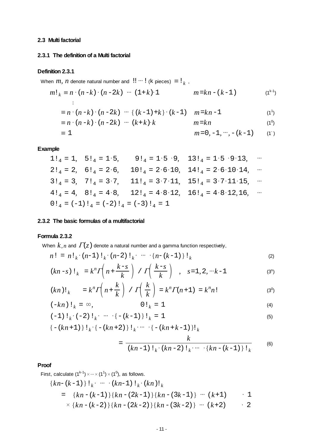## <span id="page-10-0"></span>**2.3 Multi factorial**

#### **2.3.1 The definition of a Multi factorial**

#### **Definition 2.3.1**

When *m*, *n* denote natural number and  $!! \cdots !$  (k pieces)  $\equiv !_k$ ,

$$
m!_k \equiv n \cdot (n-k) \cdot (n-2k) \cdots (1+k) \cdot 1 \qquad m = kn - (k-1) \qquad (1^{k-1})
$$

$$
\equiv n \cdot (n-k) \cdot (n-2k) \cdots \{ (k-1)+k \} \cdot (k-1) \quad m = kn-1 \tag{1} (1)
$$

$$
\equiv n \cdot (n-k) \cdot (n-2k) \cdots (k+k) \cdot k \qquad m=kn \qquad (1^0)
$$

$$
m = 0, -1, \cdots, -(k-1) \tag{1}
$$

## **Example**

$$
1!_4 = 1, \quad 5!_4 = 1 \cdot 5, \qquad 9!_4 = 1 \cdot 5 \cdot 9, \quad 13!_4 = 1 \cdot 5 \cdot 9 \cdot 13, \qquad \cdots
$$
\n
$$
2!_4 = 2, \quad 6!_4 = 2 \cdot 6, \qquad 10!_4 = 2 \cdot 6 \cdot 10, \quad 14!_4 = 2 \cdot 6 \cdot 10 \cdot 14, \qquad \cdots
$$
\n
$$
3!_4 = 3, \quad 7!_4 = 3 \cdot 7, \qquad 11!_4 = 3 \cdot 7 \cdot 11, \quad 15!_4 = 3 \cdot 7 \cdot 11 \cdot 15, \qquad \cdots
$$
\n
$$
4!_4 = 4, \quad 8!_4 = 4 \cdot 8, \qquad 12!_4 = 4 \cdot 8 \cdot 12, \quad 16!_4 = 4 \cdot 8 \cdot 12, 16, \qquad \cdots
$$
\n
$$
0!_4 = (-1)!_4 = (-2)!_4 = (-3)!_4 = 1
$$

#### **2.3.2 The basic formulas of a multifactorial**

#### **Formula 2.3.2**

When  $k, n$  and  $\Gamma(z)$  denote a natural number and a gamma function respectively,

$$
n! = n!_{k} \cdot (n-1)!_{k} \cdot (n-2)!_{k} \cdots \cdot \{n-(k-1)\}!_{k}
$$
 (2)

$$
(kn-s) \mathsf{!}_k = k^n \Gamma\left(n + \frac{k-s}{k}\right) / \Gamma\left(\frac{k-s}{k}\right) , \quad s = 1, 2, \dots k-1 \tag{3^s}
$$

$$
(kn)!\,|_{k} = k^{n} \Gamma\left(n + \frac{k}{k}\right) / \Gamma\left(\frac{k}{k}\right) = k^{n} \Gamma(n + 1) = k^{n} n! \tag{30}
$$

$$
(-kn) \, \mathbf{1}_k = \infty, \qquad \qquad 0 \, \mathbf{1}_k = 1 \tag{4}
$$

$$
(-1) \, 1_k \cdot (-2) \, 1_k \cdot \cdots \cdot \{ -(k-1) \} \, 1_k = 1 \tag{5}
$$

$$
\{- (kn+1) \} \cdot k \cdot \{- (kn+2) \} \cdot k \cdots \cdot \{- (kn+k-1) \} \cdot k
$$

$$
= \frac{k}{(kn-1) \, 1_k \cdot (kn-2) \, 1_k \cdots \, \cdot \{kn - (k-1)\} \, 1_k} \tag{6}
$$

#### **Proof**

First, calculate 
$$
(1^{k-1}) \times \cdots \times (1^1) \times (1^0)
$$
, as follows.  
\n
$$
\{kn - (k-1)\} \, 1_k \cdot \cdots \cdot (kn-1) \, 1_k \cdot (kn) \, 1_k
$$
\n
$$
= \{kn - (k-1)\} \{kn - (2k-1)\} \{kn - (3k-1)\} \cdots (k+1) \cdot 1
$$
\n
$$
\times \{kn - (k-2)\} \{kn - (2k-2)\} \{kn - (3k-2)\} \cdots (k+2) \cdot 2
$$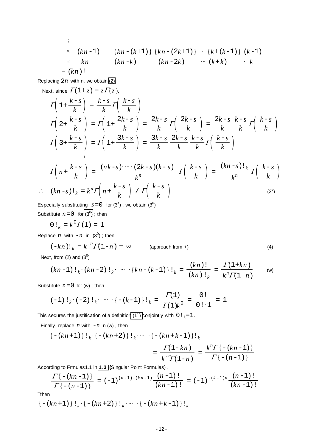$$
\begin{array}{ll}\n\vdots \\
\times & (kn-1) \\
\times & kn \\
\times & kn \\
\end{array}\n\quad\n\begin{array}{ll}\n\{kn - (k+1)\} \{kn - (2k+1)\} \cdots \{k + (k-1)\} \ (k-1) \\
\times & kn \\
\end{array}
$$
\n
$$
= (kn)! \qquad (kn - k)
$$

Replacing 2*n* with n, we obtain [\(2\).](#page-10-0)

Next, since 
$$
\Gamma(1+z) = z\Gamma(z)
$$
,  
\n
$$
\Gamma\left(1+\frac{k-s}{k}\right) = \frac{k-s}{k}\Gamma\left(\frac{k-s}{k}\right)
$$
\n
$$
\Gamma\left(2+\frac{k-s}{k}\right) = \Gamma\left(1+\frac{2k-s}{k}\right) = \frac{2k-s}{k}\Gamma\left(\frac{2k-s}{k}\right) = \frac{2k-s}{k}\frac{k-s}{k}\Gamma\left(\frac{k-s}{k}\right)
$$
\n
$$
\Gamma\left(3+\frac{k-s}{k}\right) = \Gamma\left(1+\frac{3k-s}{k}\right) = \frac{3k-s}{k}\frac{2k-s}{k}\frac{k-s}{k}\Gamma\left(\frac{k-s}{k}\right)
$$
\n
$$
\Gamma\left(n+\frac{k-s}{k}\right) = \frac{(nk-s)\cdots(2k-s)(k-s)}{k^n}\Gamma\left(\frac{k-s}{k}\right) = \frac{(kn-s)!\,k}{k^n}\Gamma\left(\frac{k-s}{k}\right)
$$
\n
$$
\therefore (kn-s)!\,k = k^n\Gamma\left(n+\frac{k-s}{k}\right) / \Gamma\left(\frac{k-s}{k}\right)
$$
\n(3<sup>s</sup>)

Especially substituting  $s = 0$  for (3<sup>s</sup>), we obtain (3<sup>0</sup>) Substitute  $n = 0$  for  $(3^0)$ ; then

 $0!_k = k^0 \Gamma(1) = 1$ 

Replace  $n$  with  $-n$  in  $(3^0)$ ; then

$$
(-kn)!_k = k^{-n} \Gamma(1-n) = \infty
$$
 (approach from +) (4)

Next, from (2) and  $(3^0)$ 

$$
(kn-1) \, 1_k \cdot (kn-2) \, 1_k \cdot \cdots \, \cdot \{kn - (k-1)\} \, 1_k = \frac{(kn) \, 1}{(kn) \, 1_k} = \frac{\Gamma(1+kn)}{k^n \Gamma(1+n)} \qquad \text{(w)}
$$

Substitute  $n = 0$  for (w); then

$$
(-1) 1_{k} \cdot (-2) 1_{k} \cdot \cdots \cdot \{- (k-1) \} 1_{k} = \frac{\Gamma(1)}{\Gamma(1) k^{0}} = \frac{0!}{0! \cdot 1} = 1
$$

This secures the justification of a definition (1<sup>-</sup>) conjointly with  $0!_k=1$ .

Finally, replace  $n$  with  $-n$  n (w), then

$$
\begin{aligned} \{-(kn+1)\} \, !\, \, _k \cdot \{-(kn+2)\} \, !\, \, _k \cdots \, \cdot \{-(kn+k-1)\} \, !\, \, _k \\ &= \, \frac{\varGamma(1-kn)}{k^{-n}\varGamma(1-n)} \, = \, \frac{k^n \varGamma\left\{-(kn-1)\right\}}{\varGamma\left\{-(n-1)\right\}} \end{aligned}
$$

According to Frmulas1.1 in **[1.3](/gamma_digamma.pdf) (**Singular Point Formulas) ,

$$
\frac{\Gamma\{-(kn-1)\}}{\Gamma\{-(n-1)\}} = (-1)^{(n-1)-(kn-1)} \frac{(n-1)!}{(kn-1)!} = (-1)^{-(k-1)n} \frac{(n-1)!}{(kn-1)!}
$$

**Tthen** 

$$
\{-(kn+1)\}\,!\, \{-(kn+2)\}\,!\, \{-(kn+k-1)\}\,!\, \{k\}
$$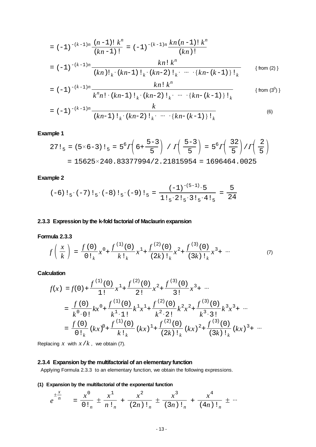$$
= (-1)^{-(k-1)n} \frac{(n-1)! k^n}{(kn-1)!} = (-1)^{-(k-1)n} \frac{kn (n-1)! k^n}{(kn)!}
$$
  
=  $(-1)^{-(k-1)n} \frac{k n! k^n}{(kn)! k \cdot (kn-1)! k \cdot (kn-2)! k \cdot \dots \cdot (kn-(k-1))! k}$  {from (2)}

$$
= (-1)^{-(k-1)n} \frac{kn! k^n}{k^n n! \cdot (kn-1)! k \cdot (kn-2)! k \cdot \cdots \cdot \{kn - (k-1)\}! k}
$$
 {from (3<sup>0</sup>)}

$$
= (-1)^{-(k-1)n} \frac{k}{(kn-1)!_k \cdot (kn-2)!_k \cdot \cdots \cdot \{kn-(k-1)\}!_k}
$$
 (6)

$$
27!_5 = (5 \times 6 - 3)!_5 = 5^6 \Gamma \left( 6 + \frac{5 - 3}{5} \right) / \Gamma \left( \frac{5 - 3}{5} \right) = 5^6 \Gamma \left( \frac{32}{5} \right) / \Gamma \left( \frac{2}{5} \right)
$$
  
= 15625×240.83377994/2.21815954 = 1696464.0025

## **Example 2**

$$
(-6) \, 1_5 \cdot (-7) \, 1_5 \cdot (-8) \, 1_5 \cdot (-9) \, 1_5 = \frac{(-1)^{-(5-1)} \cdot 5}{1 \, 1_5 \cdot 2 \, 1_5 \cdot 3 \, 1_5 \cdot 4 \, 1_5} = \frac{5}{24}
$$

## **2.3.3 Expression by the k-fold factorial of Maclaurin expansion**

## **Formula 2.3.3**

$$
f\left(\frac{x}{k}\right) = \frac{f(0)}{0!_k}x^0 + \frac{f^{(1)}(0)}{k!_k}x^1 + \frac{f^{(2)}(0)}{(2k)!_k}x^2 + \frac{f^{(3)}(0)}{(3k)!_k}x^3 + \cdots
$$
 (7)

**Calculation**

$$
f(x) = f(0) + \frac{f^{(1)}(0)}{1!} x^1 + \frac{f^{(2)}(0)}{2!} x^2 + \frac{f^{(3)}(0)}{3!} x^3 + \cdots
$$
  
\n
$$
= \frac{f(0)}{k^0 \cdot 0!} kx^0 + \frac{f^{(1)}(0)}{k^1 \cdot 1!} k^1 x^1 + \frac{f^{(2)}(0)}{k^2 \cdot 2!} k^2 x^2 + \frac{f^{(3)}(0)}{k^3 \cdot 3!} k^3 x^3 + \cdots
$$
  
\n
$$
= \frac{f(0)}{0!_k} (kx)^0 + \frac{f^{(1)}(0)}{k!_k} (kx)^1 + \frac{f^{(2)}(0)}{(2k)!_k} (kx)^2 + \frac{f^{(3)}(0)}{(3k)!_k} (kx)^3 + \cdots
$$

Replacing  $x$  with  $x/k$ , we obtain (7).

## **2.3.4 Expansion by the multifactorial of an elementary function**

Applying Formula 2.3.3 to an elementary function, we obtain the following expressions.

**(1) Expansion by the multifactorial of the exponental function**

$$
e^{\pm \frac{x}{n}} = \frac{x^0}{0!_n} \pm \frac{x^1}{n!_n} + \frac{x^2}{(2n)!_n} \pm \frac{x^3}{(3n)!_n} + \frac{x^4}{(4n)!_n} \pm \cdots
$$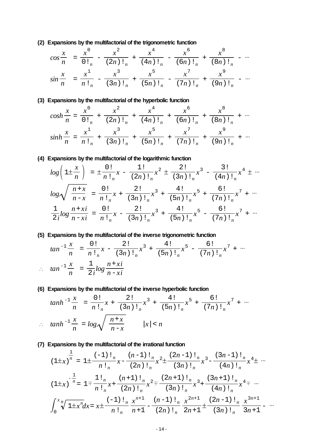**(2) Expansions by the multifactorial of the trigonometric function**

$$
\cos\frac{x}{n} = \frac{x^0}{0!_n} - \frac{x^2}{(2n)!_n} + \frac{x^4}{(4n)!_n} - \frac{x^6}{(6n)!_n} + \frac{x^8}{(8n)!_n} - \cdots
$$
  

$$
\sin\frac{x}{n} = \frac{x^1}{n!_n} - \frac{x^3}{(3n)!_n} + \frac{x^5}{(5n)!_n} - \frac{x^7}{(7n)!_n} + \frac{x^9}{(9n)!_n} - \cdots
$$

## **(3) Expansions by the multifactorial of the hyperbolic function**

$$
\cosh\frac{x}{n} = \frac{x^0}{0!_n} + \frac{x^2}{(2n)!_n} + \frac{x^4}{(4n)!_n} + \frac{x^6}{(6n)!_n} + \frac{x^8}{(8n)!_n} + \cdots
$$

$$
\sinh\frac{x}{n} = \frac{x^1}{n!_n} + \frac{x^3}{(3n)!_n} + \frac{x^5}{(5n)!_n} + \frac{x^7}{(7n)!_n} + \frac{x^9}{(9n)!_n} + \cdots
$$

## **(4) Expansions by the multifactorial of the logarithmic function**

$$
\log\left(1\pm\frac{x}{n}\right) = \pm\frac{0!}{n!_n}x - \frac{1!}{(2n)!_n}x^2 \pm \frac{2!}{(3n)!_n}x^3 - \frac{3!}{(4n)!_n}x^4 \pm \cdots
$$

$$
\log\sqrt{\frac{n+x}{n-x}} = \frac{0!}{n!_n}x + \frac{2!}{(3n)!_n}x^3 + \frac{4!}{(5n)!_n}x^5 + \frac{6!}{(7n)!_n}x^7 + \cdots
$$

$$
\frac{1}{2i}\log\frac{n+xi}{n-xi} = \frac{0!}{n!_n}x - \frac{2!}{(3n)!_n}x^3 + \frac{4!}{(5n)!_n}x^5 - \frac{6!}{(7n)!_n}x^7 + \cdots
$$

## **(5) Expansions by the multifactorial of the inverse trigonometric function**

$$
\tan^{-1}\frac{x}{n} = \frac{0!}{n!_n}x - \frac{2!}{(3n)!_n}x^3 + \frac{4!}{(5n)!_n}x^5 - \frac{6!}{(7n)!_n}x^7 + \cdots
$$

$$
\tan^{-1}\frac{x}{n} = \frac{1}{2i}\log\frac{n+xi}{n-xi}
$$

## **(6) Expansions by the multifactorial of the inverse hyperbolic function**

$$
\tanh^{-1}\frac{x}{n} = \frac{0!}{n!_n}x + \frac{2!}{(3n)!_n}x^3 + \frac{4!}{(5n)!_n}x^5 + \frac{6!}{(7n)!_n}x^7 + \cdots
$$
  
 
$$
\therefore \quad \tanh^{-1}\frac{x}{n} = \log\sqrt{\frac{n+x}{n-x}} \qquad |x| < n
$$

## **(7) Expansions by the multifactorial of the irrational function**

*tan* -1

$$
(1 \pm x)^{\frac{1}{n}} = 1 \pm \frac{(-1) \cdot \binom{n}{n}}{n \cdot \binom{n}{n}} x - \frac{(n-1) \cdot \binom{n}{n}}{(2n) \cdot \binom{n}{n}} x^2 \pm \frac{(2n-1) \cdot \binom{n}{n}}{(3n) \cdot \binom{n}{n}} x^3 - \frac{(3n-1) \cdot \binom{n}{n}}{(4n) \cdot \binom{n}{n}} x^4 \pm \cdots
$$
  

$$
(1 \pm x)^{-\frac{1}{n}} = 1 \mp \frac{1 \cdot \binom{n}{n}}{n \cdot \binom{n}{n}} x + \frac{(n+1) \cdot \binom{n}{n}}{(2n) \cdot \binom{n}{n}} x^2 \mp \frac{(2n+1) \cdot \binom{n}{n}}{(4n) \cdot \binom{n}{n}} x^3 + \frac{(3n+1) \cdot \binom{n}{n}}{(4n) \cdot \binom{n}{n}} x^4 \mp \cdots
$$
  

$$
\int_0^x \sqrt[n]{1 \pm x^n} dx = x \pm \frac{(-1) \cdot \binom{n}{n}}{n \cdot \binom{n}{n}} x^{\frac{n+1}{n}} - \frac{(n-1) \cdot \binom{n}{n}}{(2n) \cdot \binom{n}{n}} x^{\frac{2n+1}{n}} \pm \frac{(2n-1) \cdot \binom{n}{n}}{(3n) \cdot \binom{n}{n}} x^{\frac{3n+1}{n}} - \cdots
$$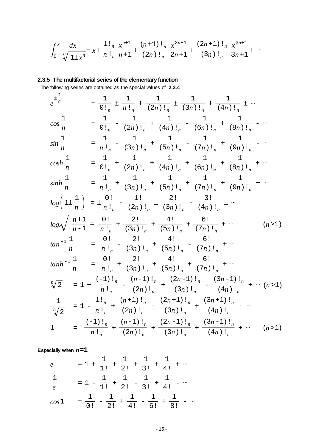$$
\int_0^x \frac{dx}{\sqrt[n]{1 \pm x^n}} = x \pm \frac{1 \cdot \binom{n}{n}}{n \cdot \binom{n}{n}} + \frac{(n+1) \cdot \binom{n}{n}}{(2n) \cdot \binom{n}{n}} \frac{x^{2n+1}}{2n+1} = \frac{(2n+1) \cdot \binom{n}{n}}{(3n) \cdot \binom{n}{n}} \frac{x^{3n+1}}{3n+1} + \cdots
$$

# **2.3.5 The multifactorial series of the elementary function**

The following series are obtained as the special values of **2.3.4** .

$$
e^{\frac{1}{n}}
$$
\n
$$
= \frac{1}{0!_n} \pm \frac{1}{n!_n} + \frac{1}{(2n)!_n} \pm \frac{1}{(3n)!_n} + \frac{1}{(4n)!_n} \pm \cdots
$$
\n
$$
\cos \frac{1}{n}
$$
\n
$$
= \frac{1}{0!_n} - \frac{1}{(2n)!_n} + \frac{1}{(4n)!_n} - \frac{1}{(6n)!_n} + \frac{1}{(8n)!_n} - \cdots
$$
\n
$$
\sin \frac{1}{n}
$$
\n
$$
= \frac{1}{n!_n} - \frac{1}{(3n)!_n} + \frac{1}{(5n)!_n} - \frac{1}{(7n)!_n} + \frac{1}{(8n)!_n} - \cdots
$$
\n
$$
\cosh \frac{1}{n}
$$
\n
$$
= \frac{1}{0!_n} + \frac{1}{(2n)!_n} + \frac{1}{(4n)!_n} + \frac{1}{(6n)!_n} + \frac{1}{(8n)!_n} + \cdots
$$
\n
$$
\sinh \frac{1}{n}
$$
\n
$$
= \frac{1}{n!_n} + \frac{1}{(3n)!_n} + \frac{1}{(5n)!_n} + \frac{1}{(7n)!_n} + \frac{1}{(9n)!_n} + \cdots
$$
\n
$$
\log \left(1 \pm \frac{1}{n}\right) = \pm \frac{0!}{n!_n} - \frac{1!}{(2n)!_n} \pm \frac{2!}{(3n)!_n} - \frac{3!}{(4n)!_n} + \cdots
$$
\n
$$
\log \sqrt{\frac{n+1}{n-1}} = \frac{0!}{n!_n} + \frac{2!}{(3n)!_n} + \frac{4!}{(5n)!_n} + \frac{6!}{(7n)!_n} + \cdots
$$
\n
$$
\tan^{-1} \frac{1}{n}
$$
\n
$$
= \frac{0!}{n!_n} - \frac{2!}{(3n)!_n} + \frac{4!}{(5n)!_n} - \frac{6!}{(7n)!_n} + \cdots
$$
\n
$$
\tan^{-1} \frac{1}{n}
$$
\n
$$
= \frac{0!}{n!
$$

**Especially when** *n***=1**

$$
e = 1 + \frac{1}{1!} + \frac{1}{2!} + \frac{1}{3!} + \frac{1}{4!} + \cdots
$$
  

$$
\frac{1}{e} = 1 - \frac{1}{1!} + \frac{1}{2!} - \frac{1}{3!} + \frac{1}{4!} - \cdots
$$
  

$$
\cos 1 = \frac{1}{0!} - \frac{1}{2!} + \frac{1}{4!} - \frac{1}{6!} + \frac{1}{8!} - \cdots
$$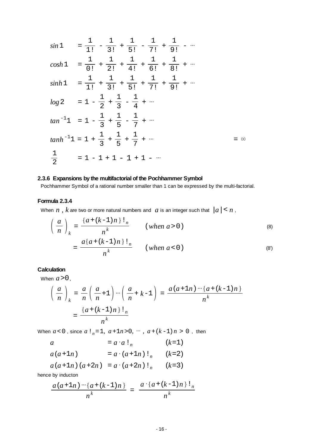$sin 1 = \frac{1}{1!} - \frac{1}{3!}$  $+\frac{1}{5!} - \frac{1}{7!}$  $+\frac{1}{9!} - \cdots$  $cosh 1 = \frac{1}{0!}$ 1  $+\frac{1}{2!}$ 1  $+\frac{-}{4!}$ 1  $+\frac{1}{6!}$ 1  $+\frac{1}{8!}$  $\frac{1}{2!} + \cdots$  $sinh 1 = \frac{1}{1!}$ 1  $+\frac{1}{3!}$ 1  $+\frac{1}{5!}$ 1  $+$   $\frac{-}{7!}$ 1  $+\frac{1}{9!}$  $\frac{1}{2!} + \cdots$  $log 2 = 1 - \frac{1}{2}$ 1  $+\frac{1}{3} - \frac{1}{4} + \cdots$  $tan^{-1}1 = 1 - \frac{1}{3}$  $+\frac{1}{5} - \frac{1}{7} + \cdots$  $tanh^{-1}1 = 1 + \frac{1}{3}$ 1  $+\frac{1}{5}$ 1  $+\frac{1}{7}$  $\frac{1}{7} + \cdots$  =  $\infty$  $\frac{1}{2}$  = 1 - 1 + 1 - 1 + 1 - ...

#### **2.3.6 Expansions by the multifactorial of the Pochhammer Symbol**

Pochhammer Symbol of a rational number smaller than 1 can be expressed by the multi-factorial.

#### **Formula 2.3.4**

When  $n$ ,  $k$  are two or more natural numbers and  $a$  is an integer such that  $|a| < n$ ,

$$
\left(\frac{a}{n}\right)_k = \frac{\{a + (k-1)n\} \cdot l_n}{n^k} \qquad (when \ a > 0)
$$
\n
$$
= \frac{a\{a + (k-1)n\} \cdot l_n}{n^k} \qquad (when \ a < 0)
$$
\n(8)\n(8)

#### **Calculation**

When  $a > 0$ ,

$$
\left(\frac{a}{n}\right)_k = \frac{a}{n} \left(\frac{a}{n} + 1\right) \cdots \left(\frac{a}{n} + k - 1\right) = \frac{a(a+1n)\cdots(a+(k-1)n)}{n^k}
$$

$$
= \frac{\left\{a + (k-1)n\right\}! \cdot n}{n^k}
$$

When  $a < 0$ , since  $a!_n = 1$ ,  $a + 1n > 0$ ,  $\dots$ ,  $a + (k-1)n > 0$ , then

a = 
$$
a \cdot a \cdot l_n
$$
 ( $k=1$ )  
\na( $a+1n$ ) =  $a \cdot (a+1n) \cdot l_n$  ( $k=2$ )  
\na( $a+1n$ ) ( $a+2n$ ) =  $a \cdot (a+2n) \cdot l_n$  ( $k=3$ )  
\nso by induction

hence by inducton

$$
\frac{a(a+1n)\cdots(a+(k-1)n)}{n^k} = \frac{a\cdot\{a+(k-1)n\}!_n}{n^k}
$$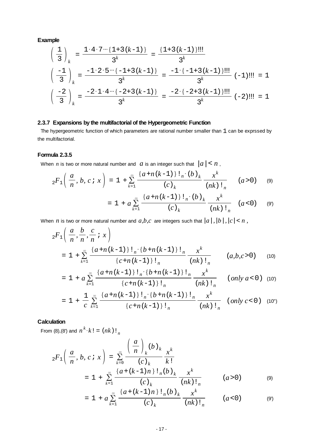$$
\left(\frac{1}{3}\right)_k = \frac{1 \cdot 4 \cdot 7 \cdots \{1+3(k-1)\}}{3^k} = \frac{\{1+3(k-1)\}!!}{3^k}
$$

$$
\left(\frac{-1}{3}\right)_k = \frac{-1 \cdot 2 \cdot 5 \cdots \{-1+3(k-1)\}}{3^k} = \frac{-1 \cdot \{-1+3(k-1)\}!!}{3^k} (-1)!! = 1
$$

$$
\left(\frac{-2}{3}\right)_k = \frac{-2 \cdot 1 \cdot 4 \cdots \{-2+3(k-1)\}}{3^k} = \frac{-2 \cdot \{-2+3(k-1)\}!!}{3^k} (-2)!! = 1
$$

## **2.3.7 Expansions by the multifactorial of the Hypergeometric Function**

The hypergeometric function of which parameters are rational number smaller than 1 can be exprssed by the multifactorial.

## **Formula 2.3.5**

When *n* is two or more natural number and  $a$  is an integer such that  $|a| < n$ ,

$$
{}_{2}F_{1}\left(\frac{a}{n},\,b,\,c\,i\,x\right) = 1 + \sum_{k=1}^{\infty} \frac{\left\{a + n\,(k-1)\,\right\} \,!\, {}_{n} \cdot \left(b\,\right)_{k}}{\left(c\,\right)_{k}} \frac{x^{k}}{\left(nk\right) \,!\, {}_{n}} \qquad (a > 0) \qquad (9)
$$

$$
= 1 + a \sum_{k=1}^{\infty} \frac{\left\{a + n(k-1)\right\} \, \frac{\left\{b\right\}_k}{\left(c\right)_k} \, \frac{x^k}{\left(nk\right) \, \frac{1}{n}} \quad (a < 0) \qquad (9)
$$

When *n* is two or more natural number and  $a,b,c$  are integers such that  $|a|, |b|, |c| < n$ ,

$$
{}_{2}F_{1}\left(\frac{a}{n},\frac{b}{n},\frac{c}{n} : x\right)
$$
  
=  $1 + \sum_{k=1}^{\infty} \frac{\{a+n(k-1)\}\! \cdot \cdot \{b+n(k-1)\}\! \cdot \cdot \cdot \cdot}{\{c+n(k-1)\}\! \cdot \cdot \cdot \cdot \cdot \cdot \cdot \cdot \cdot \cdot \cdot \cdot \cdot \cdot \cdot} \cdot (a,b,c>0) \quad (10)$ 

$$
= 1 + a \sum_{k=1}^{\infty} \frac{\left\{a + n(k-1)\right\} \, !_{n} \cdot \left\{b + n(k-1)\right\} \, !_{n}}{\left\{c + n(k-1)\right\} \, !_{n}} \frac{x^{k}}{(nk) \, !_{n}} \qquad (only \, a < 0) \tag{10}
$$

$$
= 1 + \frac{1}{c} \sum_{k=1}^{\infty} \frac{\left\{a + n(k-1)\right\}! \, \cdot \left\{b + n(k-1)\right\}! \, \cdot \, n}{\left\{c + n(k-1)\right\}! \, \cdot \, n} \frac{x^{k}}{(nk) \, \cdot \, n} \quad (only \, c < 0) \tag{10''}
$$

## **Calculation**

From (8), (8') and  $n^k \cdot k! = (nk)!_n$ 

$$
{}_{2}F_{1}\left(\frac{a}{n}, b, c : x\right) = \sum_{k=0}^{\infty} \frac{\left(\frac{a}{n}\right)_{k}(b)_{k}}{(c)_{k}} \frac{x^{k}}{k!}
$$

$$
= 1 + \sum_{k=1}^{\infty} \frac{\left\{a + (k-1)n\right\}!_{n}(b)_{k}}{(c)_{k}} \frac{x^{k}}{(nk)_{n}} \qquad (a > 0) \qquad (9)
$$

$$
= 1 + a \sum_{k=1}^{\infty} \frac{\left\{a + (k-1)n\right\} \cdot \frac{1}{n} (b)_k}{(c)_k} \frac{x^k}{(nk) \cdot \frac{1}{n}} \qquad (a < 0) \qquad (9)
$$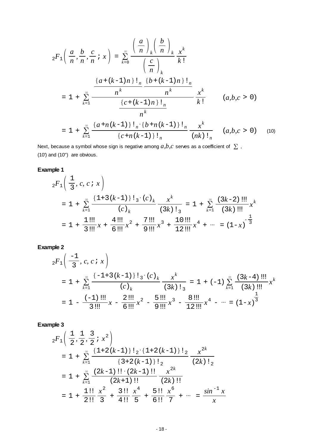$$
{}_{2}F_{1}\left(\frac{a}{n},\frac{b}{n},\frac{c}{n} ; x\right) = \sum_{k=0}^{\infty} \frac{\left(\frac{a}{n}\right)_{k}\left(\frac{b}{n}\right)_{k} x^{k}}{\left(\frac{c}{n}\right)_{k}} \frac{x^{k}}{k!}
$$
\n
$$
= 1 + \sum_{k=1}^{\infty} \frac{\frac{a + (k-1)n}{n} \cdot \frac{b + (k-1)n}{n} \cdot \frac{x^{k}}{k!}}{\frac{c + (k-1)n}{n} \cdot \frac{x^{k}}{k!}} \frac{x^{k}}{k!} \qquad (a,b,c > 0)
$$
\n
$$
= 1 + \sum_{k=1}^{\infty} \frac{\frac{a + n(k-1)}{n} \cdot \frac{b + n(k-1)}{n} \cdot \frac{x^{k}}{k!}}{\frac{c + n(k-1)}{n} \cdot \frac{x^{k}}{k!}} \qquad (a,b,c > 0) \qquad (10)
$$

Next, because a symbol whose sign is negative among  $a,b,c$  serves as a coefficient of  $\sum$ , (10') and (10") are obvious.

## **Example 1**

$$
{}_{2}F_{1}\left(\frac{1}{3}, c, c \, ; \, x\right)
$$
\n
$$
= 1 + \sum_{k=1}^{\infty} \frac{\{1+3(k-1)\}! \, {}_{3} \cdot (c)_k}{(c)_k} \frac{x^k}{(3k) \, !_3} = 1 + \sum_{k=1}^{\infty} \frac{(3k-2) \, \text{III}}{(3k) \, \text{III}} x^k
$$
\n
$$
= 1 + \frac{1 \, \text{III}}{3 \, \text{III}} x + \frac{4 \, \text{III}}{6 \, \text{III}} x^2 + \frac{7 \, \text{III}}{9 \, \text{III}} x^3 + \frac{10 \, \text{III}}{12 \, \text{III}} x^4 + \dots = (1-x)^{-\frac{1}{3}}
$$

## **Example 2**

$$
{}_{2}F_{1}\left(\frac{-1}{3}, c, c; x\right)
$$
\n
$$
= 1 + \sum_{k=1}^{\infty} \frac{\{-1+3(k-1)\}! \, {}_{3} \cdot (c)_k}{(c)_k} \frac{x^k}{(3k)! \, {}_{3}^{2}} = 1 + (-1) \sum_{k=1}^{\infty} \frac{(3k-4) \, \text{III}}{(3k) \, \text{III}} x^k
$$
\n
$$
= 1 - \frac{(-1) \, \text{III}}{3 \, \text{III}} x - \frac{2 \, \text{III}}{6 \, \text{III}} x^2 - \frac{5 \, \text{III}}{9 \, \text{III}} x^3 - \frac{8 \, \text{III}}{12 \, \text{III}} x^4 - \dots = (1-x)^{\frac{1}{3}}
$$

# **Example 3**

$$
{}_{2}F_{1}\left(\frac{1}{2},\frac{1}{2},\frac{3}{2};x^{2}\right)
$$
\n
$$
= 1 + \sum_{k=1}^{\infty} \frac{\{1+2(k-1)\}!_{2}\cdot\{1+2(k-1)\}!_{2}}{\{3+2(k-1)\}!_{2}} \frac{x^{2k}}{(2k)!_{2}}
$$
\n
$$
= 1 + \sum_{k=1}^{\infty} \frac{(2k-1)!!\cdot(2k-1)!!}{(2k+1)!!} \frac{x^{2k}}{(2k)!!}
$$
\n
$$
= 1 + \frac{1!!}{2!!} \frac{x^{2}}{3} + \frac{3!!}{4!!} \frac{x^{4}}{5} + \frac{5!!}{6!!} \frac{x^{6}}{7} + \dots = \frac{\sin^{-1}x}{x}
$$